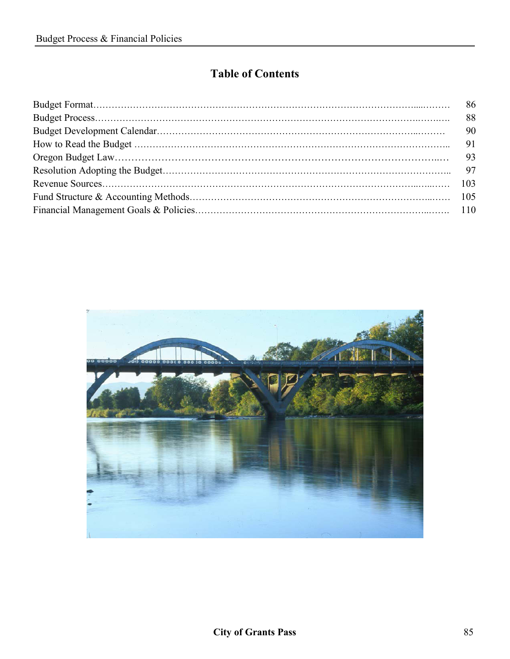# **Table of Contents**

| 90 |
|----|
| 91 |
| 93 |
|    |
|    |
|    |
|    |

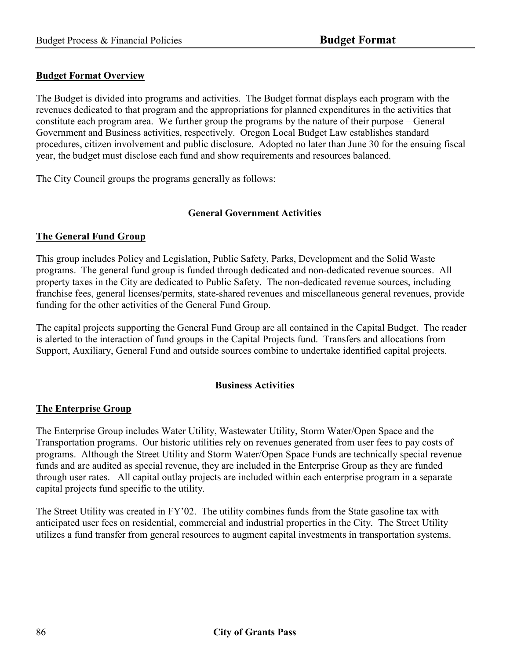### **Budget Format Overview**

The Budget is divided into programs and activities. The Budget format displays each program with the revenues dedicated to that program and the appropriations for planned expenditures in the activities that constitute each program area. We further group the programs by the nature of their purpose – General Government and Business activities, respectively. Oregon Local Budget Law establishes standard procedures, citizen involvement and public disclosure. Adopted no later than June 30 for the ensuing fiscal year, the budget must disclose each fund and show requirements and resources balanced.

The City Council groups the programs generally as follows:

### **General Government Activities**

### **The General Fund Group**

This group includes Policy and Legislation, Public Safety, Parks, Development and the Solid Waste programs. The general fund group is funded through dedicated and non-dedicated revenue sources. All property taxes in the City are dedicated to Public Safety. The non-dedicated revenue sources, including franchise fees, general licenses/permits, state-shared revenues and miscellaneous general revenues, provide funding for the other activities of the General Fund Group.

The capital projects supporting the General Fund Group are all contained in the Capital Budget. The reader is alerted to the interaction of fund groups in the Capital Projects fund. Transfers and allocations from Support, Auxiliary, General Fund and outside sources combine to undertake identified capital projects.

#### **Business Activities**

#### **The Enterprise Group**

The Enterprise Group includes Water Utility, Wastewater Utility, Storm Water/Open Space and the Transportation programs. Our historic utilities rely on revenues generated from user fees to pay costs of programs. Although the Street Utility and Storm Water/Open Space Funds are technically special revenue funds and are audited as special revenue, they are included in the Enterprise Group as they are funded through user rates. All capital outlay projects are included within each enterprise program in a separate capital projects fund specific to the utility.

The Street Utility was created in FY'02. The utility combines funds from the State gasoline tax with anticipated user fees on residential, commercial and industrial properties in the City. The Street Utility utilizes a fund transfer from general resources to augment capital investments in transportation systems.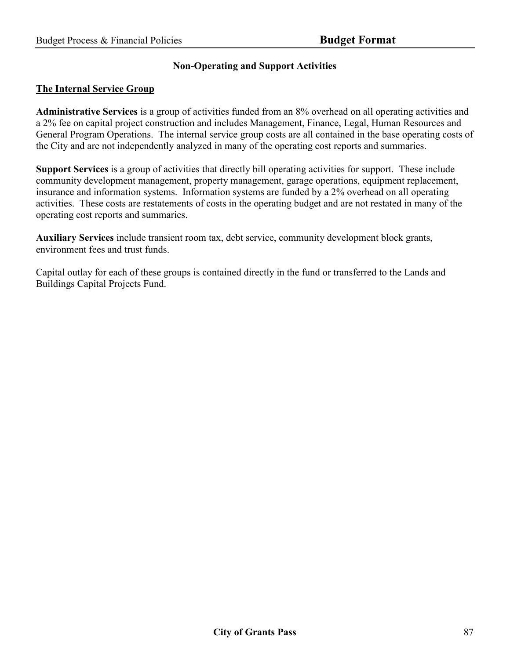# **Non-Operating and Support Activities**

#### **The Internal Service Group**

**Administrative Services** is a group of activities funded from an 8% overhead on all operating activities and a 2% fee on capital project construction and includes Management, Finance, Legal, Human Resources and General Program Operations. The internal service group costs are all contained in the base operating costs of the City and are not independently analyzed in many of the operating cost reports and summaries.

**Support Services** is a group of activities that directly bill operating activities for support. These include community development management, property management, garage operations, equipment replacement, insurance and information systems. Information systems are funded by a 2% overhead on all operating activities. These costs are restatements of costs in the operating budget and are not restated in many of the operating cost reports and summaries.

**Auxiliary Services** include transient room tax, debt service, community development block grants, environment fees and trust funds.

Capital outlay for each of these groups is contained directly in the fund or transferred to the Lands and Buildings Capital Projects Fund.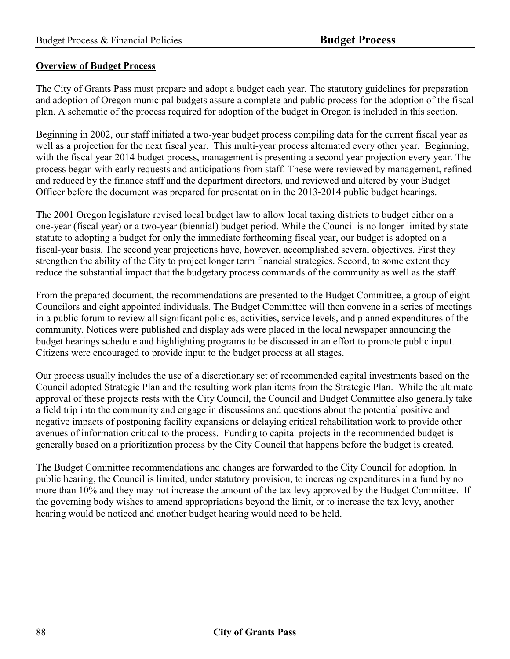### **Overview of Budget Process**

The City of Grants Pass must prepare and adopt a budget each year. The statutory guidelines for preparation and adoption of Oregon municipal budgets assure a complete and public process for the adoption of the fiscal plan. A schematic of the process required for adoption of the budget in Oregon is included in this section.

Beginning in 2002, our staff initiated a two-year budget process compiling data for the current fiscal year as well as a projection for the next fiscal year. This multi-year process alternated every other year. Beginning, with the fiscal year 2014 budget process, management is presenting a second year projection every year. The process began with early requests and anticipations from staff. These were reviewed by management, refined and reduced by the finance staff and the department directors, and reviewed and altered by your Budget Officer before the document was prepared for presentation in the 2013-2014 public budget hearings.

The 2001 Oregon legislature revised local budget law to allow local taxing districts to budget either on a one-year (fiscal year) or a two-year (biennial) budget period. While the Council is no longer limited by state statute to adopting a budget for only the immediate forthcoming fiscal year, our budget is adopted on a fiscal-year basis. The second year projections have, however, accomplished several objectives. First they strengthen the ability of the City to project longer term financial strategies. Second, to some extent they reduce the substantial impact that the budgetary process commands of the community as well as the staff.

From the prepared document, the recommendations are presented to the Budget Committee, a group of eight Councilors and eight appointed individuals. The Budget Committee will then convene in a series of meetings in a public forum to review all significant policies, activities, service levels, and planned expenditures of the community. Notices were published and display ads were placed in the local newspaper announcing the budget hearings schedule and highlighting programs to be discussed in an effort to promote public input. Citizens were encouraged to provide input to the budget process at all stages.

Our process usually includes the use of a discretionary set of recommended capital investments based on the Council adopted Strategic Plan and the resulting work plan items from the Strategic Plan. While the ultimate approval of these projects rests with the City Council, the Council and Budget Committee also generally take a field trip into the community and engage in discussions and questions about the potential positive and negative impacts of postponing facility expansions or delaying critical rehabilitation work to provide other avenues of information critical to the process. Funding to capital projects in the recommended budget is generally based on a prioritization process by the City Council that happens before the budget is created.

The Budget Committee recommendations and changes are forwarded to the City Council for adoption. In public hearing, the Council is limited, under statutory provision, to increasing expenditures in a fund by no more than 10% and they may not increase the amount of the tax levy approved by the Budget Committee. If the governing body wishes to amend appropriations beyond the limit, or to increase the tax levy, another hearing would be noticed and another budget hearing would need to be held.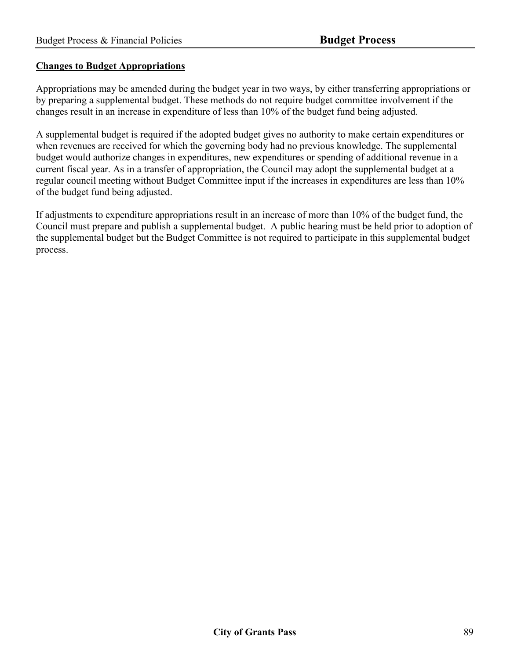### **Changes to Budget Appropriations**

Appropriations may be amended during the budget year in two ways, by either transferring appropriations or by preparing a supplemental budget. These methods do not require budget committee involvement if the changes result in an increase in expenditure of less than 10% of the budget fund being adjusted.

A supplemental budget is required if the adopted budget gives no authority to make certain expenditures or when revenues are received for which the governing body had no previous knowledge. The supplemental budget would authorize changes in expenditures, new expenditures or spending of additional revenue in a current fiscal year. As in a transfer of appropriation, the Council may adopt the supplemental budget at a regular council meeting without Budget Committee input if the increases in expenditures are less than 10% of the budget fund being adjusted.

If adjustments to expenditure appropriations result in an increase of more than 10% of the budget fund, the Council must prepare and publish a supplemental budget. A public hearing must be held prior to adoption of the supplemental budget but the Budget Committee is not required to participate in this supplemental budget process.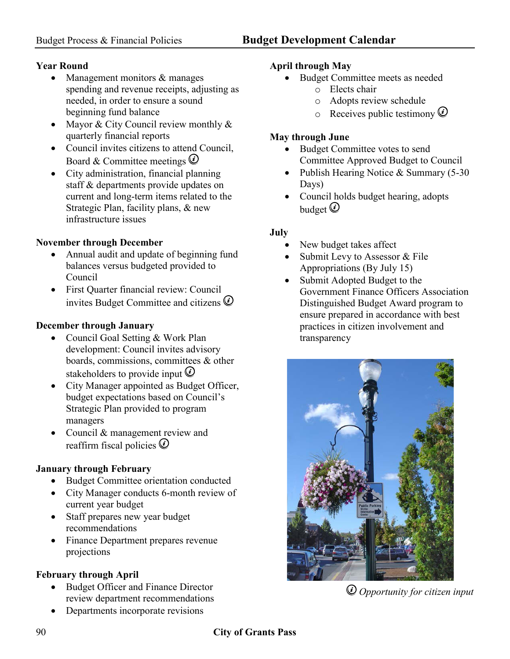# **Year Round**

- Management monitors & manages spending and revenue receipts, adjusting as needed, in order to ensure a sound beginning fund balance
- Mayor & City Council review monthly & quarterly financial reports
- Council invites citizens to attend Council, Board & Committee meetings  $\circled{e}$
- City administration, financial planning staff & departments provide updates on current and long-term items related to the Strategic Plan, facility plans, & new infrastructure issues

# **November through December**

- Annual audit and update of beginning fund balances versus budgeted provided to Council
- First Quarter financial review: Council invites Budget Committee and citizens  $\circled{e}$

# **December through January**

- Council Goal Setting & Work Plan development: Council invites advisory boards, commissions, committees & other stakeholders to provide input  $\ddot{\psi}$
- City Manager appointed as Budget Officer, budget expectations based on Council's Strategic Plan provided to program managers
- Council & management review and reaffirm fiscal policies  $\overline{Q}$

# **January through February**

- Budget Committee orientation conducted
- City Manager conducts 6-month review of current year budget
- Staff prepares new year budget recommendations
- Finance Department prepares revenue projections

# **February through April**

- Budget Officer and Finance Director review department recommendations
- Departments incorporate revisions

# **April through May**

- Budget Committee meets as needed
	- o Elects chair
	- o Adopts review schedule
	- $\circ$  Receives public testimony  $\circled{v}$

# **May through June**

- Budget Committee votes to send Committee Approved Budget to Council
- Publish Hearing Notice & Summary (5-30) Days)
- Council holds budget hearing, adopts budget  $\overline{Q}$

# **July**

- New budget takes affect
- Submit Levy to Assessor & File Appropriations (By July 15)
- Submit Adopted Budget to the Government Finance Officers Association Distinguished Budget Award program to ensure prepared in accordance with best practices in citizen involvement and transparency



*Opportunity for citizen input*

# 90 **City of Grants Pass**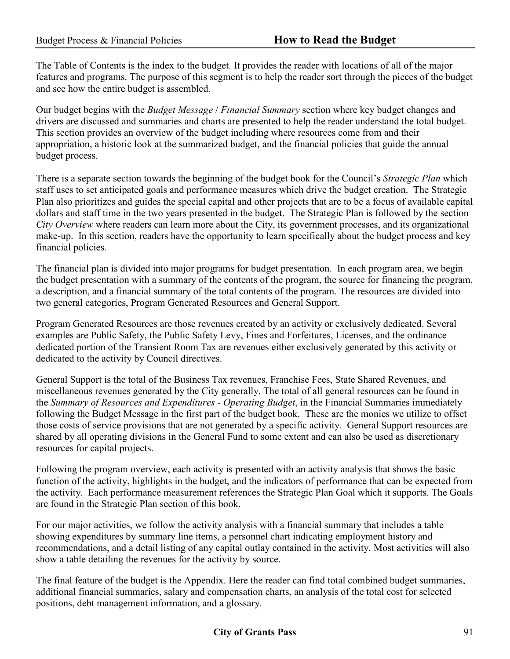The Table of Contents is the index to the budget. It provides the reader with locations of all of the major features and programs. The purpose of this segment is to help the reader sort through the pieces of the budget and see how the entire budget is assembled.

Our budget begins with the *Budget Message* / *Financial Summary* section where key budget changes and drivers are discussed and summaries and charts are presented to help the reader understand the total budget. This section provides an overview of the budget including where resources come from and their appropriation, a historic look at the summarized budget, and the financial policies that guide the annual budget process.

There is a separate section towards the beginning of the budget book for the Council's *Strategic Plan* which staff uses to set anticipated goals and performance measures which drive the budget creation. The Strategic Plan also prioritizes and guides the special capital and other projects that are to be a focus of available capital dollars and staff time in the two years presented in the budget. The Strategic Plan is followed by the section *City Overview* where readers can learn more about the City, its government processes, and its organizational make-up. In this section, readers have the opportunity to learn specifically about the budget process and key financial policies.

The financial plan is divided into major programs for budget presentation. In each program area, we begin the budget presentation with a summary of the contents of the program, the source for financing the program, a description, and a financial summary of the total contents of the program. The resources are divided into two general categories, Program Generated Resources and General Support.

Program Generated Resources are those revenues created by an activity or exclusively dedicated. Several examples are Public Safety, the Public Safety Levy, Fines and Forfeitures, Licenses, and the ordinance dedicated portion of the Transient Room Tax are revenues either exclusively generated by this activity or dedicated to the activity by Council directives.

General Support is the total of the Business Tax revenues, Franchise Fees, State Shared Revenues, and miscellaneous revenues generated by the City generally. The total of all general resources can be found in the *Summary of Resources and Expenditures - Operating Budget*, in the Financial Summaries immediately following the Budget Message in the first part of the budget book. These are the monies we utilize to offset those costs of service provisions that are not generated by a specific activity. General Support resources are shared by all operating divisions in the General Fund to some extent and can also be used as discretionary resources for capital projects.

Following the program overview, each activity is presented with an activity analysis that shows the basic function of the activity, highlights in the budget, and the indicators of performance that can be expected from the activity. Each performance measurement references the Strategic Plan Goal which it supports. The Goals are found in the Strategic Plan section of this book.

For our major activities, we follow the activity analysis with a financial summary that includes a table showing expenditures by summary line items, a personnel chart indicating employment history and recommendations, and a detail listing of any capital outlay contained in the activity. Most activities will also show a table detailing the revenues for the activity by source.

The final feature of the budget is the Appendix. Here the reader can find total combined budget summaries, additional financial summaries, salary and compensation charts, an analysis of the total cost for selected positions, debt management information, and a glossary.

# **City of Grants Pass** 91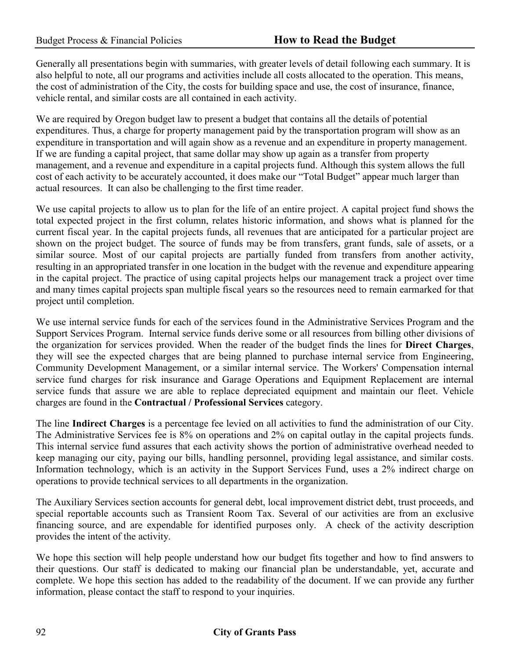Generally all presentations begin with summaries, with greater levels of detail following each summary. It is also helpful to note, all our programs and activities include all costs allocated to the operation. This means, the cost of administration of the City, the costs for building space and use, the cost of insurance, finance, vehicle rental, and similar costs are all contained in each activity.

We are required by Oregon budget law to present a budget that contains all the details of potential expenditures. Thus, a charge for property management paid by the transportation program will show as an expenditure in transportation and will again show as a revenue and an expenditure in property management. If we are funding a capital project, that same dollar may show up again as a transfer from property management, and a revenue and expenditure in a capital projects fund. Although this system allows the full cost of each activity to be accurately accounted, it does make our "Total Budget" appear much larger than actual resources. It can also be challenging to the first time reader.

We use capital projects to allow us to plan for the life of an entire project. A capital project fund shows the total expected project in the first column, relates historic information, and shows what is planned for the current fiscal year. In the capital projects funds, all revenues that are anticipated for a particular project are shown on the project budget. The source of funds may be from transfers, grant funds, sale of assets, or a similar source. Most of our capital projects are partially funded from transfers from another activity, resulting in an appropriated transfer in one location in the budget with the revenue and expenditure appearing in the capital project. The practice of using capital projects helps our management track a project over time and many times capital projects span multiple fiscal years so the resources need to remain earmarked for that project until completion.

We use internal service funds for each of the services found in the Administrative Services Program and the Support Services Program. Internal service funds derive some or all resources from billing other divisions of the organization for services provided. When the reader of the budget finds the lines for **Direct Charges**, they will see the expected charges that are being planned to purchase internal service from Engineering, Community Development Management, or a similar internal service. The Workers' Compensation internal service fund charges for risk insurance and Garage Operations and Equipment Replacement are internal service funds that assure we are able to replace depreciated equipment and maintain our fleet. Vehicle charges are found in the **Contractual / Professional Services** category.

The line **Indirect Charges** is a percentage fee levied on all activities to fund the administration of our City. The Administrative Services fee is 8% on operations and 2% on capital outlay in the capital projects funds. This internal service fund assures that each activity shows the portion of administrative overhead needed to keep managing our city, paying our bills, handling personnel, providing legal assistance, and similar costs. Information technology, which is an activity in the Support Services Fund, uses a 2% indirect charge on operations to provide technical services to all departments in the organization.

The Auxiliary Services section accounts for general debt, local improvement district debt, trust proceeds, and special reportable accounts such as Transient Room Tax. Several of our activities are from an exclusive financing source, and are expendable for identified purposes only. A check of the activity description provides the intent of the activity.

We hope this section will help people understand how our budget fits together and how to find answers to their questions. Our staff is dedicated to making our financial plan be understandable, yet, accurate and complete. We hope this section has added to the readability of the document. If we can provide any further information, please contact the staff to respond to your inquiries.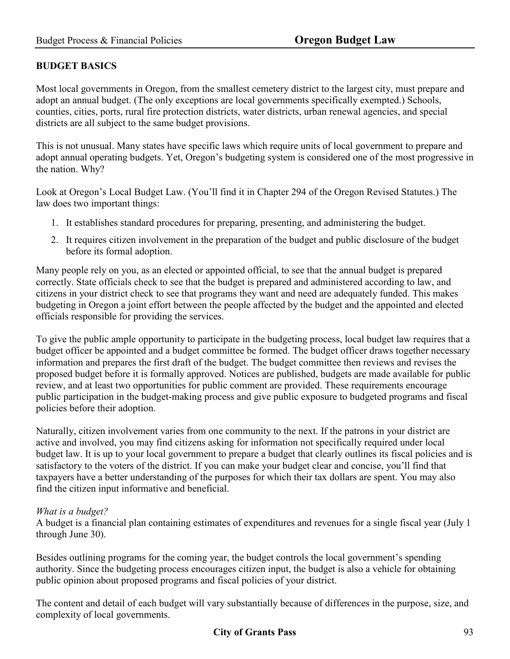# **BUDGET BASICS**

Most local governments in Oregon, from the smallest cemetery district to the largest city, must prepare and adopt an annual budget. (The only exceptions are local governments specifically exempted.) Schools, counties, cities, ports, rural fire protection districts, water districts, urban renewal agencies, and special districts are all subject to the same budget provisions.

This is not unusual. Many states have specific laws which require units of local government to prepare and adopt annual operating budgets. Yet, Oregon's budgeting system is considered one of the most progressive in the nation. Why?

Look at Oregon's Local Budget Law. (You'll find it in Chapter 294 of the Oregon Revised Statutes.) The law does two important things:

- 1. It establishes standard procedures for preparing, presenting, and administering the budget.
- 2. It requires citizen involvement in the preparation of the budget and public disclosure of the budget before its formal adoption.

Many people rely on you, as an elected or appointed official, to see that the annual budget is prepared correctly. State officials check to see that the budget is prepared and administered according to law, and citizens in your district check to see that programs they want and need are adequately funded. This makes budgeting in Oregon a joint effort between the people affected by the budget and the appointed and elected officials responsible for providing the services.

To give the public ample opportunity to participate in the budgeting process, local budget law requires that a budget officer be appointed and a budget committee be formed. The budget officer draws together necessary information and prepares the first draft of the budget. The budget committee then reviews and revises the proposed budget before it is formally approved. Notices are published, budgets are made available for public review, and at least two opportunities for public comment are provided. These requirements encourage public participation in the budget-making process and give public exposure to budgeted programs and fiscal policies before their adoption.

Naturally, citizen involvement varies from one community to the next. If the patrons in your district are active and involved, you may find citizens asking for information not specifically required under local budget law. It is up to your local government to prepare a budget that clearly outlines its fiscal policies and is satisfactory to the voters of the district. If you can make your budget clear and concise, you'll find that taxpayers have a better understanding of the purposes for which their tax dollars are spent. You may also find the citizen input informative and beneficial.

#### *What is a budget?*

A budget is a financial plan containing estimates of expenditures and revenues for a single fiscal year (July 1 through June 30).

Besides outlining programs for the coming year, the budget controls the local government's spending authority. Since the budgeting process encourages citizen input, the budget is also a vehicle for obtaining public opinion about proposed programs and fiscal policies of your district.

The content and detail of each budget will vary substantially because of differences in the purpose, size, and complexity of local governments.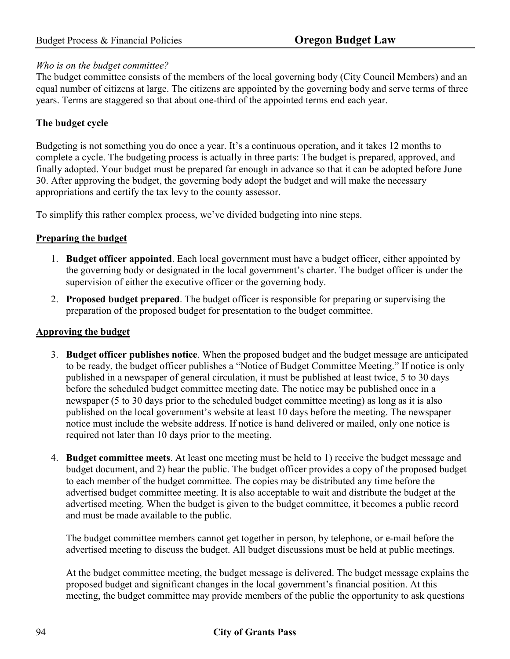# *Who is on the budget committee?*

The budget committee consists of the members of the local governing body (City Council Members) and an equal number of citizens at large. The citizens are appointed by the governing body and serve terms of three years. Terms are staggered so that about one-third of the appointed terms end each year.

# **The budget cycle**

Budgeting is not something you do once a year. It's a continuous operation, and it takes 12 months to complete a cycle. The budgeting process is actually in three parts: The budget is prepared, approved, and finally adopted. Your budget must be prepared far enough in advance so that it can be adopted before June 30. After approving the budget, the governing body adopt the budget and will make the necessary appropriations and certify the tax levy to the county assessor.

To simplify this rather complex process, we've divided budgeting into nine steps.

# **Preparing the budget**

- 1. **Budget officer appointed**. Each local government must have a budget officer, either appointed by the governing body or designated in the local government's charter. The budget officer is under the supervision of either the executive officer or the governing body.
- 2. **Proposed budget prepared**. The budget officer is responsible for preparing or supervising the preparation of the proposed budget for presentation to the budget committee.

# **Approving the budget**

- 3. **Budget officer publishes notice**. When the proposed budget and the budget message are anticipated to be ready, the budget officer publishes a "Notice of Budget Committee Meeting." If notice is only published in a newspaper of general circulation, it must be published at least twice, 5 to 30 days before the scheduled budget committee meeting date. The notice may be published once in a newspaper (5 to 30 days prior to the scheduled budget committee meeting) as long as it is also published on the local government's website at least 10 days before the meeting. The newspaper notice must include the website address. If notice is hand delivered or mailed, only one notice is required not later than 10 days prior to the meeting.
- 4. **Budget committee meets**. At least one meeting must be held to 1) receive the budget message and budget document, and 2) hear the public. The budget officer provides a copy of the proposed budget to each member of the budget committee. The copies may be distributed any time before the advertised budget committee meeting. It is also acceptable to wait and distribute the budget at the advertised meeting. When the budget is given to the budget committee, it becomes a public record and must be made available to the public.

The budget committee members cannot get together in person, by telephone, or e-mail before the advertised meeting to discuss the budget. All budget discussions must be held at public meetings.

At the budget committee meeting, the budget message is delivered. The budget message explains the proposed budget and significant changes in the local government's financial position. At this meeting, the budget committee may provide members of the public the opportunity to ask questions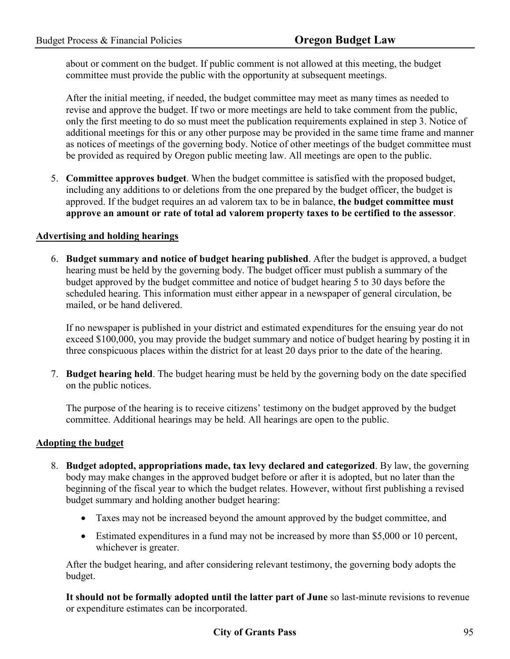about or comment on the budget. If public comment is not allowed at this meeting, the budget committee must provide the public with the opportunity at subsequent meetings.

After the initial meeting, if needed, the budget committee may meet as many times as needed to revise and approve the budget. If two or more meetings are held to take comment from the public, only the first meeting to do so must meet the publication requirements explained in step 3. Notice of additional meetings for this or any other purpose may be provided in the same time frame and manner as notices of meetings of the governing body. Notice of other meetings of the budget committee must be provided as required by Oregon public meeting law. All meetings are open to the public.

5. **Committee approves budget**. When the budget committee is satisfied with the proposed budget, including any additions to or deletions from the one prepared by the budget officer, the budget is approved. If the budget requires an ad valorem tax to be in balance, **the budget committee must approve an amount or rate of total ad valorem property taxes to be certified to the assessor**.

### **Advertising and holding hearings**

6. **Budget summary and notice of budget hearing published**. After the budget is approved, a budget hearing must be held by the governing body. The budget officer must publish a summary of the budget approved by the budget committee and notice of budget hearing 5 to 30 days before the scheduled hearing. This information must either appear in a newspaper of general circulation, be mailed, or be hand delivered.

If no newspaper is published in your district and estimated expenditures for the ensuing year do not exceed \$100,000, you may provide the budget summary and notice of budget hearing by posting it in three conspicuous places within the district for at least 20 days prior to the date of the hearing.

7. **Budget hearing held**. The budget hearing must be held by the governing body on the date specified on the public notices.

The purpose of the hearing is to receive citizens' testimony on the budget approved by the budget committee. Additional hearings may be held. All hearings are open to the public.

# **Adopting the budget**

- 8. **Budget adopted, appropriations made, tax levy declared and categorized**. By law, the governing body may make changes in the approved budget before or after it is adopted, but no later than the beginning of the fiscal year to which the budget relates. However, without first publishing a revised budget summary and holding another budget hearing:
	- Taxes may not be increased beyond the amount approved by the budget committee, and
	- Estimated expenditures in a fund may not be increased by more than \$5,000 or 10 percent, whichever is greater.

After the budget hearing, and after considering relevant testimony, the governing body adopts the budget.

**It should not be formally adopted until the latter part of June** so last-minute revisions to revenue or expenditure estimates can be incorporated.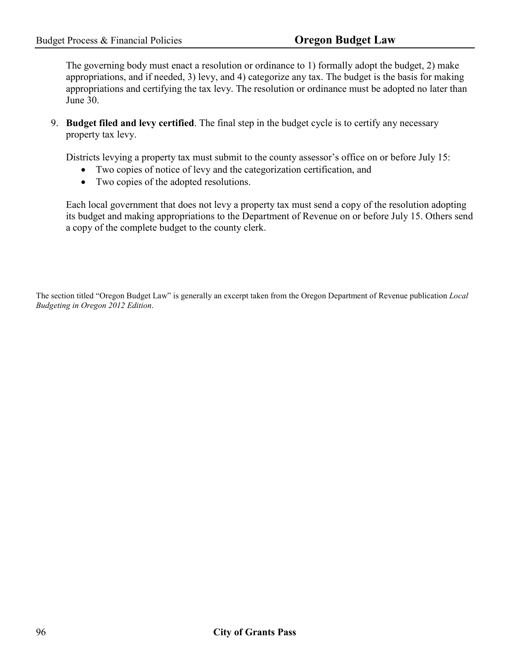The governing body must enact a resolution or ordinance to 1) formally adopt the budget, 2) make appropriations, and if needed, 3) levy, and 4) categorize any tax. The budget is the basis for making appropriations and certifying the tax levy. The resolution or ordinance must be adopted no later than June 30.

9. **Budget filed and levy certified**. The final step in the budget cycle is to certify any necessary property tax levy.

Districts levying a property tax must submit to the county assessor's office on or before July 15:

- Two copies of notice of levy and the categorization certification, and
- Two copies of the adopted resolutions.

Each local government that does not levy a property tax must send a copy of the resolution adopting its budget and making appropriations to the Department of Revenue on or before July 15. Others send a copy of the complete budget to the county clerk.

The section titled "Oregon Budget Law" is generally an excerpt taken from the Oregon Department of Revenue publication *Local Budgeting in Oregon 2012 Edition*.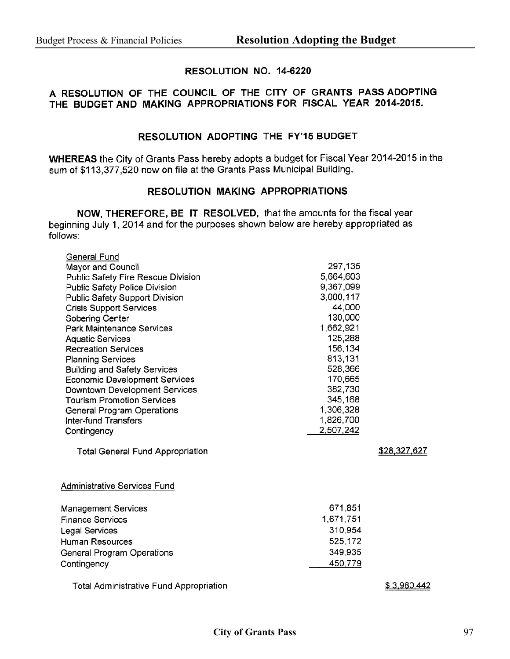### RESOLUTION NO. 14-6220

# A RESOLUTION OF THE COUNCIL OF THE CITY OF GRANTS PASS ADOPTING THE BUDGET AND MAKING APPROPRIATIONS FOR FISCAL YEAR 2014-2015.

### RESOLUTION ADOPTING THE FY'15 BUDGET

WHEREAS the City of Grants Pass hereby adopts a budget for Fiscal Year 2014-2015 in the sum of \$113,377,520 now on file at the Grants Pass Municipal Building.

#### RESOLUTION MAKING APPROPRIATIONS

NOW, THEREFORE, BE IT RESOLVED, that the amounts for the fiscal year beginning July 1, 2014 and for the purposes shown below are hereby appropriated as follows:

| General Fund<br>Mayor and Council<br>Public Safety Fire Rescue Division<br>Public Safety Police Division<br>Public Safety Support Division<br><b>Crisis Support Services</b><br>Sobering Center<br>Park Maintenance Services<br><b>Aquatic Services</b><br><b>Recreation Services</b><br><b>Planning Services</b><br><b>Building and Safety Services</b><br>Economic Development Services<br>Downtown Development Services<br><b>Tourism Promotion Services</b><br>General Program Operations<br><b>Inter-fund Transfers</b><br>Contingency | 297,135<br>5,664,603<br>9,367,099<br>3,000,117<br>44,000<br>130,000<br>1,662,921<br>125,288<br>156,134<br>813,131<br>528,366<br>170,665<br>382,730<br>345,168<br>1,306,328<br>1,826,700<br>2,507,242 |                     |
|---------------------------------------------------------------------------------------------------------------------------------------------------------------------------------------------------------------------------------------------------------------------------------------------------------------------------------------------------------------------------------------------------------------------------------------------------------------------------------------------------------------------------------------------|------------------------------------------------------------------------------------------------------------------------------------------------------------------------------------------------------|---------------------|
| <b>Total General Fund Appropriation</b>                                                                                                                                                                                                                                                                                                                                                                                                                                                                                                     |                                                                                                                                                                                                      | <u>\$28,327,627</u> |
| <b>Administrative Services Fund</b>                                                                                                                                                                                                                                                                                                                                                                                                                                                                                                         |                                                                                                                                                                                                      |                     |
| <b>Management Services</b><br><b>Finance Services</b><br>Legal Services<br><b>Human Resources</b><br>General Program Operations<br>Contingency                                                                                                                                                                                                                                                                                                                                                                                              | 671,851<br>1,671,751<br>310,954<br>525,172<br>349,935<br>450,779                                                                                                                                     |                     |
| <b>Total Administrative Fund Appropriation</b>                                                                                                                                                                                                                                                                                                                                                                                                                                                                                              |                                                                                                                                                                                                      | \$3,980,442         |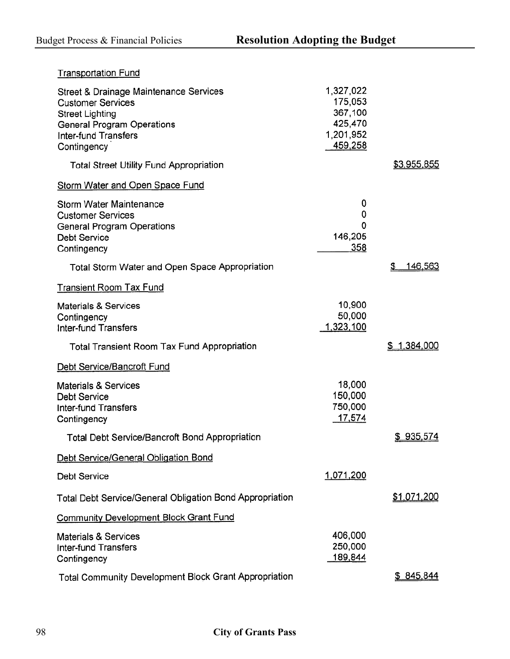| <b>Transportation Fund</b>                                                                                                                                        |                                                                    |                 |
|-------------------------------------------------------------------------------------------------------------------------------------------------------------------|--------------------------------------------------------------------|-----------------|
| Street & Drainage Maintenance Services<br><b>Customer Services</b><br><b>Street Lighting</b><br>General Program Operations<br>Inter-fund Transfers<br>Contingency | 1,327,022<br>175,053<br>367,100<br>425,470<br>1,201,952<br>459,258 |                 |
| <b>Total Street Utility Fund Appropriation</b>                                                                                                                    |                                                                    | \$3,955,855     |
| Storm Water and Open Space Fund                                                                                                                                   |                                                                    |                 |
| Storm Water Maintenance<br><b>Customer Services</b><br>General Program Operations<br>Debt Service<br>Contingency                                                  | 0<br>0<br>0<br>146,205<br>358                                      |                 |
| Total Storm Water and Open Space Appropriation                                                                                                                    |                                                                    | 146,563<br>\$   |
| Transient Room Tax Fund                                                                                                                                           |                                                                    |                 |
| <b>Materials &amp; Services</b><br>Contingency<br>Inter-fund Transfers                                                                                            | 10,900<br>50,000<br>1,323,100                                      |                 |
| Total Transient Room Tax Fund Appropriation                                                                                                                       |                                                                    | 1,384,000<br>\$ |
| Debt Service/Bancroft Fund                                                                                                                                        |                                                                    |                 |
| <b>Materials &amp; Services</b><br><b>Debt Service</b><br>Inter-fund Transfers<br>Contingency                                                                     | 18,000<br>150,000<br>750,000<br>17,574                             |                 |
| <b>Total Debt Service/Bancroft Bond Appropriation</b>                                                                                                             |                                                                    | \$935,574       |
| Debt Service/General Obligation Bond                                                                                                                              |                                                                    |                 |
| Debt Service                                                                                                                                                      | 1,071,200                                                          |                 |
| Total Debt Service/General Obligation Bond Appropriation                                                                                                          |                                                                    | \$1,071,200     |
| <b>Community Development Block Grant Fund</b>                                                                                                                     |                                                                    |                 |
| <b>Materials &amp; Services</b><br>Inter-fund Transfers<br>Contingency                                                                                            | 406,000<br>250,000<br>189,844                                      |                 |
| <b>Total Community Development Block Grant Appropriation</b>                                                                                                      |                                                                    | \$845,844       |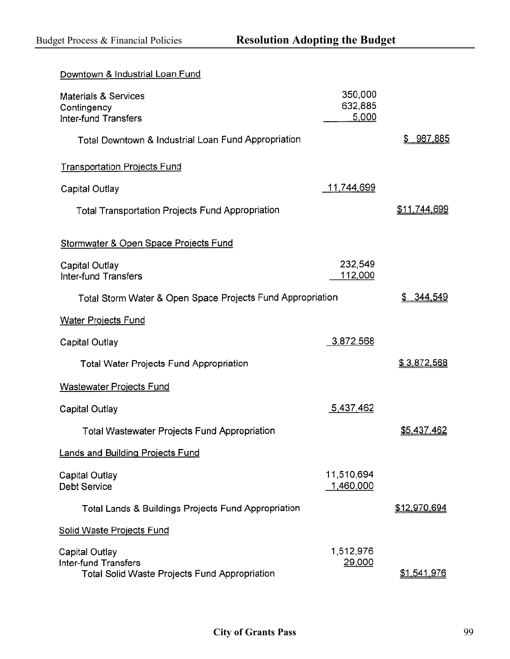| Downtown & Industrial Loan Fund                                                         |                             |                     |
|-----------------------------------------------------------------------------------------|-----------------------------|---------------------|
| Materials & Services<br>Contingency<br>Inter-fund Transfers                             | 350,000<br>632,885<br>5,000 |                     |
| Total Downtown & Industrial Loan Fund Appropriation                                     |                             | \$987,885           |
| <b>Transportation Projects Fund</b>                                                     |                             |                     |
| Capital Outlay                                                                          | <u>11,744,699</u>           |                     |
| Total Transportation Projects Fund Appropriation                                        |                             | <u>\$11,744,699</u> |
| Stormwater & Open Space Projects Fund                                                   |                             |                     |
| Capital Outlay<br>Inter-fund Transfers                                                  | 232,549<br>112,000          |                     |
| Total Storm Water & Open Space Projects Fund Appropriation                              |                             | \$344.549           |
| <b>Water Projects Fund</b>                                                              |                             |                     |
| Capital Outlay                                                                          | 3,872,568                   |                     |
| Total Water Projects Fund Appropriation                                                 |                             | \$3,872,568         |
| <b>Wastewater Projects Fund</b>                                                         |                             |                     |
| Capital Outlay                                                                          | 5,437,462                   |                     |
| <b>Total Wastewater Projects Fund Appropriation</b>                                     |                             | \$5,437,462         |
| <b>Lands and Building Projects Fund</b>                                                 |                             |                     |
| Capital Outlay<br>Debt Service                                                          | 11,510,694<br>1,460,000     |                     |
| Total Lands & Buildings Projects Fund Appropriation                                     |                             | \$12,970,694        |
| <b>Solid Waste Projects Fund</b>                                                        |                             |                     |
| Capital Outlay<br>Inter-fund Transfers<br>Total Solid Waste Projects Fund Appropriation | 1,512,976<br>29,000         | <u>\$1,541,976</u>  |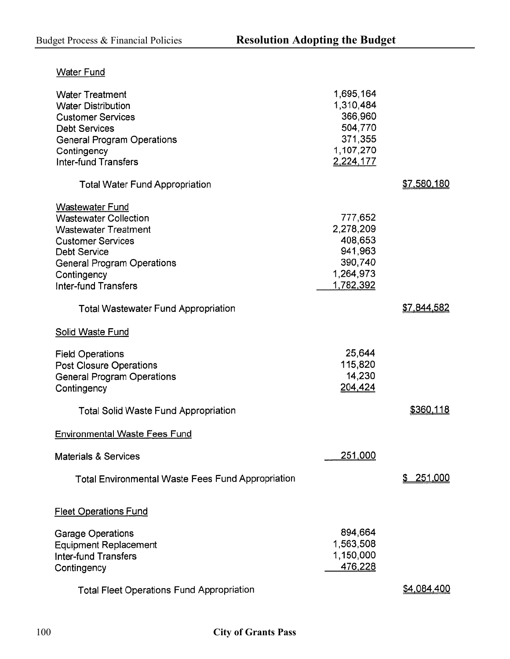| <b>Water Fund</b>                                 |           |                  |
|---------------------------------------------------|-----------|------------------|
| <b>Water Treatment</b>                            | 1,695,164 |                  |
| <b>Water Distribution</b>                         | 1,310,484 |                  |
| <b>Customer Services</b>                          | 366,960   |                  |
| <b>Debt Services</b>                              | 504,770   |                  |
| General Program Operations                        | 371,355   |                  |
| Contingency                                       | 1,107,270 |                  |
| <b>Inter-fund Transfers</b>                       | 2,224,177 |                  |
| <b>Total Water Fund Appropriation</b>             |           | \$7,580,180      |
| <b>Wastewater Fund</b>                            |           |                  |
| <b>Wastewater Collection</b>                      | 777,652   |                  |
| <b>Wastewater Treatment</b>                       | 2,278,209 |                  |
| <b>Customer Services</b>                          | 408,653   |                  |
| Debt Service                                      | 941,963   |                  |
| General Program Operations                        | 390,740   |                  |
| Contingency                                       | 1,264,973 |                  |
| Inter-fund Transfers                              | 1,782,392 |                  |
| Total Wastewater Fund Appropriation               |           | \$7,844,582      |
| <b>Solid Waste Fund</b>                           |           |                  |
| <b>Field Operations</b>                           | 25,644    |                  |
| Post Closure Operations                           | 115,820   |                  |
| <b>General Program Operations</b>                 | 14,230    |                  |
| Contingency                                       | 204,424   |                  |
|                                                   |           |                  |
| Total Solid Waste Fund Appropriation              |           | \$360,118        |
| <b>Environmental Waste Fees Fund</b>              |           |                  |
| <b>Materials &amp; Services</b>                   | 251,000   |                  |
| Total Environmental Waste Fees Fund Appropriation |           | <u>\$251,000</u> |
| <b>Fleet Operations Fund</b>                      |           |                  |
| Garage Operations                                 | 894,664   |                  |
| Equipment Replacement                             | 1,563,508 |                  |
| Inter-fund Transfers                              | 1,150,000 |                  |
| Contingency                                       | 476,228   |                  |
|                                                   |           |                  |
| Total Fleet Operations Fund Appropriation         |           | \$4,084,400      |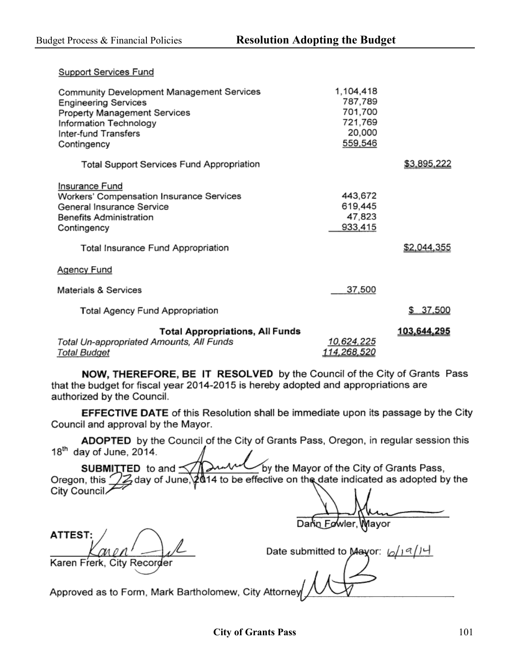Support Services Fund

| Community Development Management Services<br><b>Engineering Services</b><br>Property Management Services<br>Information Technology<br>Inter-fund Transfers<br>Contingency      | 1,104,418<br>787,789<br>701,700<br>721,769<br>20,000<br>559,546 |             |
|--------------------------------------------------------------------------------------------------------------------------------------------------------------------------------|-----------------------------------------------------------------|-------------|
| <b>Total Support Services Fund Appropriation</b>                                                                                                                               |                                                                 | \$3,895,222 |
| Insurance Fund<br>Workers' Compensation Insurance Services<br>General Insurance Service<br><b>Benefits Administration</b><br>Contingency<br>Total Insurance Fund Appropriation | 443,672<br>619,445<br>47,823<br>933,415                         | \$2,044,355 |
| <b>Agency Fund</b>                                                                                                                                                             |                                                                 |             |
| Materials & Services                                                                                                                                                           | 37,500                                                          |             |
| Total Agency Fund Appropriation                                                                                                                                                |                                                                 | \$37,500    |
| Total Appropriations, All Funds<br>Total Un-appropriated Amounts, All Funds<br><b>Total Budget</b>                                                                             | 10,624,225<br>114,268,520                                       | 103,644,295 |

NOW, THEREFORE, BE IT RESOLVED by the Council of the City of Grants Pass that the budget for fiscal year 2014-2015 is hereby adopted and appropriations are authorized by the Council.

EFFECTIVE DATE of this Resolution shall be immediate upon its passage by the City Council and approval by the Mayor.

ADOPTED by the Council of the City of Grants Pass, Oregon, in regular session this  $18<sup>th</sup>$  day of June, 2014.

by the Mayor of the City of Grants Pass, SUBMITTED to and 14 to be effective on the date indicated as adopted by the Oregon, this Zday of June. City Council

Darin Fowler, Mayor

**ATTEST** Karen Frerk, City Recorder

Date submitted to Mayor:  $\sqrt{1^q/1^q}$ 

Approved as to Form, Mark Bartholomew, City Attorney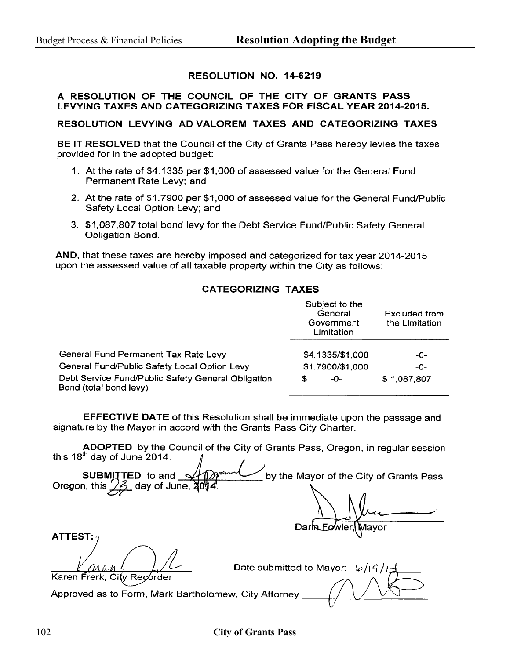#### RESOLUTION NO. 14-6219

#### A RESOLUTION OF THE COUNCIL OF THE CITY OF GRANTS PASS LEVYING TAXES AND CATEGORIZING TAXES FOR FISCAL YEAR 2014-2015.

RESOLUTION LEVYING AD VALOREM TAXES AND CATEGORIZING TAXES

**BE IT RESOLVED** that the Council of the City of Grants Pass hereby levies the taxes provided for in the adopted budget:

- 1. At the rate of \$4.1335 per \$1,000 of assessed value for the General Fund Permanent Rate Levy; and
- 2. At the rate of \$1.7900 per \$1,000 of assessed value for the General Fund/Public Safety Local Option Levy; and
- 3. \$1,087,807 total bond levy for the Debt Service Fund/Public Safety General **Obligation Bond.**

AND, that these taxes are hereby imposed and categorized for tax year 2014-2015 upon the assessed value of all taxable property within the City as follows:

#### **CATEGORIZING TAXES**

|                                                                              | Subject to the<br>General<br>Government<br>Limitation | Excluded from<br>the Limitation |
|------------------------------------------------------------------------------|-------------------------------------------------------|---------------------------------|
| General Fund Permanent Tax Rate Levy                                         | \$4.1335/\$1,000                                      | -0-                             |
| General Fund/Public Safety Local Option Levy                                 | \$1.7900/\$1,000                                      | -0-                             |
| Debt Service Fund/Public Safety General Obligation<br>Bond (total bond levy) | -0-<br>S                                              | \$1,087,807                     |

**EFFECTIVE DATE** of this Resolution shall be immediate upon the passage and signature by the Mayor in accord with the Grants Pass City Charter.

ADOPTED by the Council of the City of Grants Pass, Oregon, in regular session this 18<sup>th</sup> day of June 2014.

SUBMITTED to and by the Mayor of the City of Grants Pass, Oregon, this  $\angle$  $\mathscr{D}_1$  day of June,

Darin 1avor

**ATTEST:** 

Date submitted to Mayor:  $\frac{1}{6}$ /19

Karen Frerk, City Recorder

Approved as to Form, Mark Bartholomew, City Attorney

#### 102 **City of Grants Pass**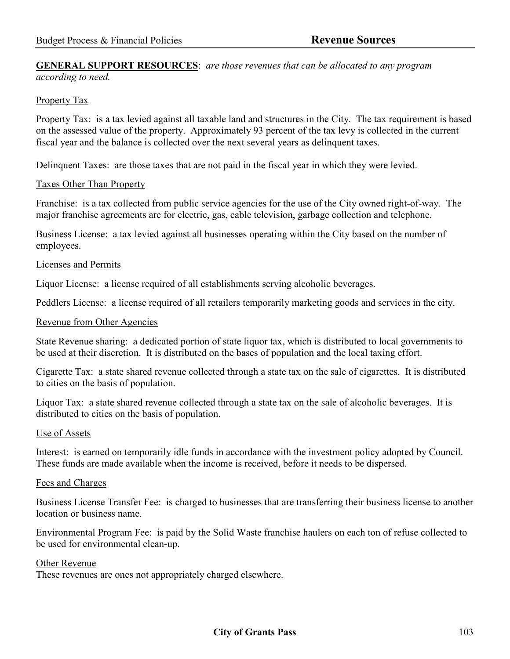#### **GENERAL SUPPORT RESOURCES**: *are those revenues that can be allocated to any program according to need.*

### Property Tax

Property Tax: is a tax levied against all taxable land and structures in the City. The tax requirement is based on the assessed value of the property. Approximately 93 percent of the tax levy is collected in the current fiscal year and the balance is collected over the next several years as delinquent taxes.

Delinquent Taxes: are those taxes that are not paid in the fiscal year in which they were levied.

### Taxes Other Than Property

Franchise: is a tax collected from public service agencies for the use of the City owned right-of-way. The major franchise agreements are for electric, gas, cable television, garbage collection and telephone.

Business License: a tax levied against all businesses operating within the City based on the number of employees.

### Licenses and Permits

Liquor License: a license required of all establishments serving alcoholic beverages.

Peddlers License: a license required of all retailers temporarily marketing goods and services in the city.

#### Revenue from Other Agencies

State Revenue sharing: a dedicated portion of state liquor tax, which is distributed to local governments to be used at their discretion. It is distributed on the bases of population and the local taxing effort.

Cigarette Tax: a state shared revenue collected through a state tax on the sale of cigarettes. It is distributed to cities on the basis of population.

Liquor Tax: a state shared revenue collected through a state tax on the sale of alcoholic beverages. It is distributed to cities on the basis of population.

#### Use of Assets

Interest: is earned on temporarily idle funds in accordance with the investment policy adopted by Council. These funds are made available when the income is received, before it needs to be dispersed.

#### Fees and Charges

Business License Transfer Fee: is charged to businesses that are transferring their business license to another location or business name.

Environmental Program Fee: is paid by the Solid Waste franchise haulers on each ton of refuse collected to be used for environmental clean-up.

#### Other Revenue

These revenues are ones not appropriately charged elsewhere.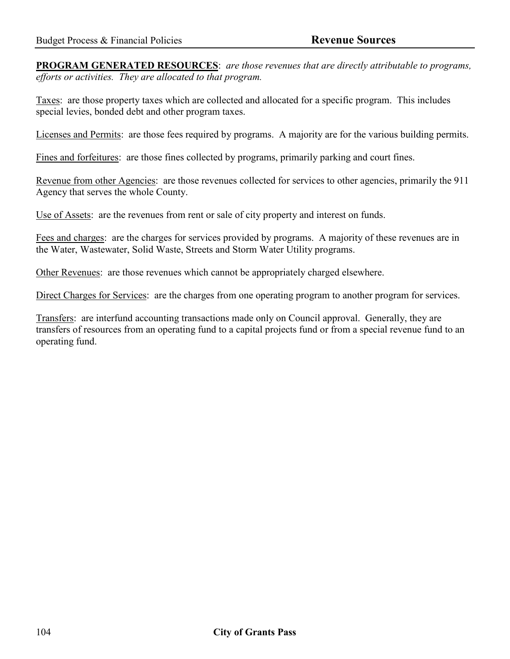**PROGRAM GENERATED RESOURCES**: *are those revenues that are directly attributable to programs, efforts or activities. They are allocated to that program.* 

Taxes: are those property taxes which are collected and allocated for a specific program. This includes special levies, bonded debt and other program taxes.

Licenses and Permits: are those fees required by programs. A majority are for the various building permits.

Fines and forfeitures: are those fines collected by programs, primarily parking and court fines.

Revenue from other Agencies: are those revenues collected for services to other agencies, primarily the 911 Agency that serves the whole County.

Use of Assets: are the revenues from rent or sale of city property and interest on funds.

Fees and charges: are the charges for services provided by programs. A majority of these revenues are in the Water, Wastewater, Solid Waste, Streets and Storm Water Utility programs.

Other Revenues: are those revenues which cannot be appropriately charged elsewhere.

Direct Charges for Services: are the charges from one operating program to another program for services.

Transfers: are interfund accounting transactions made only on Council approval. Generally, they are transfers of resources from an operating fund to a capital projects fund or from a special revenue fund to an operating fund.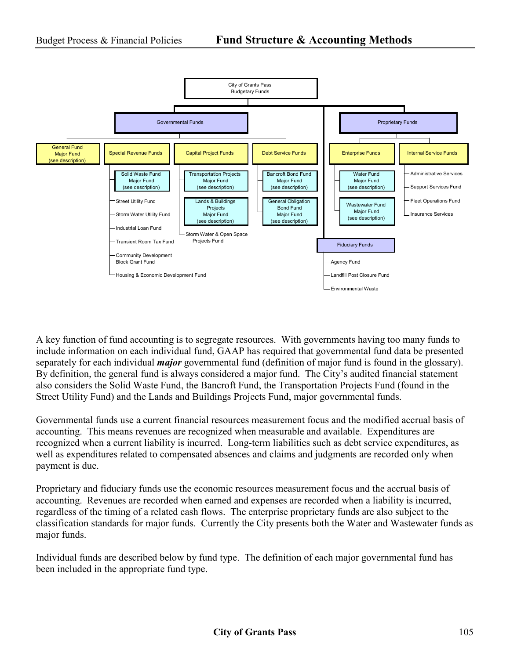

A key function of fund accounting is to segregate resources. With governments having too many funds to include information on each individual fund, GAAP has required that governmental fund data be presented separately for each individual *major* governmental fund (definition of major fund is found in the glossary). By definition, the general fund is always considered a major fund. The City's audited financial statement also considers the Solid Waste Fund, the Bancroft Fund, the Transportation Projects Fund (found in the Street Utility Fund) and the Lands and Buildings Projects Fund, major governmental funds.

Governmental funds use a current financial resources measurement focus and the modified accrual basis of accounting. This means revenues are recognized when measurable and available. Expenditures are recognized when a current liability is incurred. Long-term liabilities such as debt service expenditures, as well as expenditures related to compensated absences and claims and judgments are recorded only when payment is due.

Proprietary and fiduciary funds use the economic resources measurement focus and the accrual basis of accounting. Revenues are recorded when earned and expenses are recorded when a liability is incurred, regardless of the timing of a related cash flows. The enterprise proprietary funds are also subject to the classification standards for major funds. Currently the City presents both the Water and Wastewater funds as major funds.

Individual funds are described below by fund type. The definition of each major governmental fund has been included in the appropriate fund type.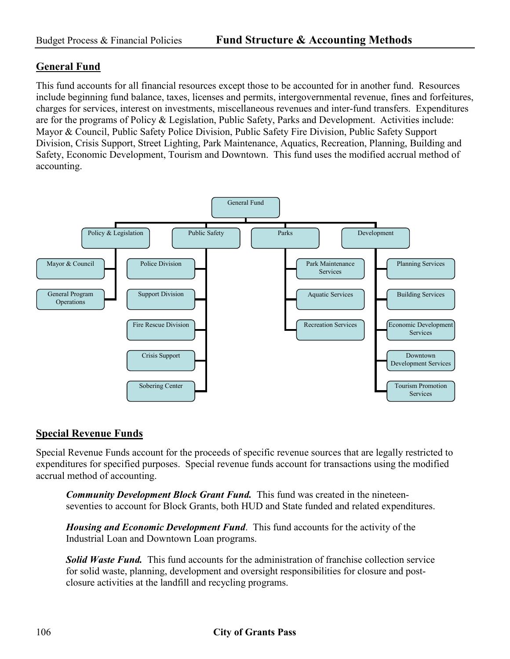# **General Fund**

This fund accounts for all financial resources except those to be accounted for in another fund. Resources include beginning fund balance, taxes, licenses and permits, intergovernmental revenue, fines and forfeitures, charges for services, interest on investments, miscellaneous revenues and inter-fund transfers. Expenditures are for the programs of Policy & Legislation, Public Safety, Parks and Development. Activities include: Mayor & Council, Public Safety Police Division, Public Safety Fire Division, Public Safety Support Division, Crisis Support, Street Lighting, Park Maintenance, Aquatics, Recreation, Planning, Building and Safety, Economic Development, Tourism and Downtown. This fund uses the modified accrual method of accounting.



# **Special Revenue Funds**

Special Revenue Funds account for the proceeds of specific revenue sources that are legally restricted to expenditures for specified purposes. Special revenue funds account for transactions using the modified accrual method of accounting.

*Community Development Block Grant Fund.* This fund was created in the nineteenseventies to account for Block Grants, both HUD and State funded and related expenditures.

*Housing and Economic Development Fund*. This fund accounts for the activity of the Industrial Loan and Downtown Loan programs.

*Solid Waste Fund.* This fund accounts for the administration of franchise collection service for solid waste, planning, development and oversight responsibilities for closure and postclosure activities at the landfill and recycling programs.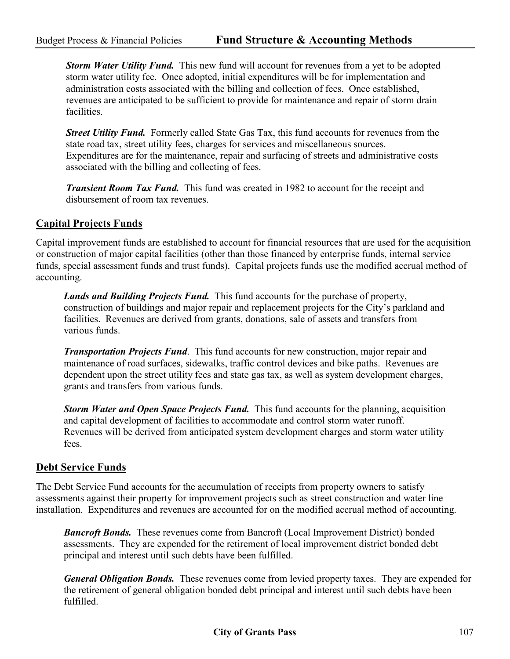*Storm Water Utility Fund.* This new fund will account for revenues from a yet to be adopted storm water utility fee. Once adopted, initial expenditures will be for implementation and administration costs associated with the billing and collection of fees. Once established, revenues are anticipated to be sufficient to provide for maintenance and repair of storm drain facilities.

**Street Utility Fund.** Formerly called State Gas Tax, this fund accounts for revenues from the state road tax, street utility fees, charges for services and miscellaneous sources. Expenditures are for the maintenance, repair and surfacing of streets and administrative costs associated with the billing and collecting of fees.

*Transient Room Tax Fund.* This fund was created in 1982 to account for the receipt and disbursement of room tax revenues.

# **Capital Projects Funds**

Capital improvement funds are established to account for financial resources that are used for the acquisition or construction of major capital facilities (other than those financed by enterprise funds, internal service funds, special assessment funds and trust funds). Capital projects funds use the modified accrual method of accounting.

*Lands and Building Projects Fund.* This fund accounts for the purchase of property, construction of buildings and major repair and replacement projects for the City's parkland and facilities. Revenues are derived from grants, donations, sale of assets and transfers from various funds.

*Transportation Projects Fund*. This fund accounts for new construction, major repair and maintenance of road surfaces, sidewalks, traffic control devices and bike paths. Revenues are dependent upon the street utility fees and state gas tax, as well as system development charges, grants and transfers from various funds.

*Storm Water and Open Space Projects Fund.* This fund accounts for the planning, acquisition and capital development of facilities to accommodate and control storm water runoff. Revenues will be derived from anticipated system development charges and storm water utility fees.

# **Debt Service Funds**

The Debt Service Fund accounts for the accumulation of receipts from property owners to satisfy assessments against their property for improvement projects such as street construction and water line installation. Expenditures and revenues are accounted for on the modified accrual method of accounting.

**Bancroft Bonds.** These revenues come from Bancroft (Local Improvement District) bonded assessments. They are expended for the retirement of local improvement district bonded debt principal and interest until such debts have been fulfilled.

*General Obligation Bonds.* These revenues come from levied property taxes. They are expended for the retirement of general obligation bonded debt principal and interest until such debts have been fulfilled.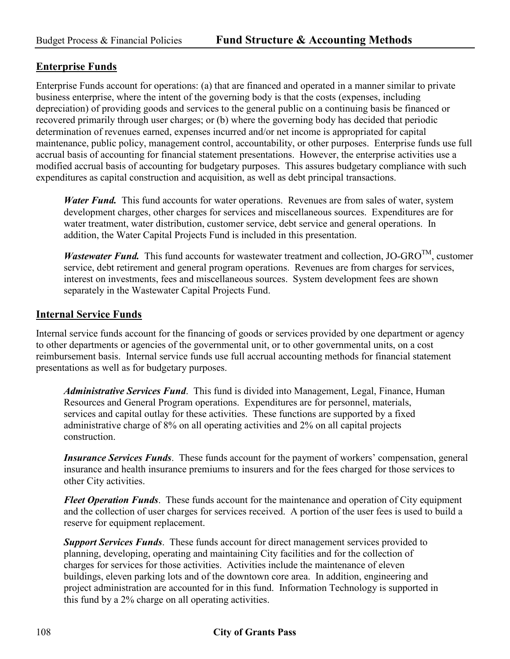# **Enterprise Funds**

Enterprise Funds account for operations: (a) that are financed and operated in a manner similar to private business enterprise, where the intent of the governing body is that the costs (expenses, including depreciation) of providing goods and services to the general public on a continuing basis be financed or recovered primarily through user charges; or (b) where the governing body has decided that periodic determination of revenues earned, expenses incurred and/or net income is appropriated for capital maintenance, public policy, management control, accountability, or other purposes. Enterprise funds use full accrual basis of accounting for financial statement presentations. However, the enterprise activities use a modified accrual basis of accounting for budgetary purposes. This assures budgetary compliance with such expenditures as capital construction and acquisition, as well as debt principal transactions.

*Water Fund.* This fund accounts for water operations. Revenues are from sales of water, system development charges, other charges for services and miscellaneous sources. Expenditures are for water treatment, water distribution, customer service, debt service and general operations. In addition, the Water Capital Projects Fund is included in this presentation.

*Wastewater Fund.* This fund accounts for wastewater treatment and collection,  $JO\text{-}GRO^{TM}$ , customer service, debt retirement and general program operations. Revenues are from charges for services, interest on investments, fees and miscellaneous sources. System development fees are shown separately in the Wastewater Capital Projects Fund.

# **Internal Service Funds**

Internal service funds account for the financing of goods or services provided by one department or agency to other departments or agencies of the governmental unit, or to other governmental units, on a cost reimbursement basis. Internal service funds use full accrual accounting methods for financial statement presentations as well as for budgetary purposes.

*Administrative Services Fund*. This fund is divided into Management, Legal, Finance, Human Resources and General Program operations. Expenditures are for personnel, materials, services and capital outlay for these activities. These functions are supported by a fixed administrative charge of 8% on all operating activities and 2% on all capital projects construction.

*Insurance Services Funds*. These funds account for the payment of workers' compensation, general insurance and health insurance premiums to insurers and for the fees charged for those services to other City activities.

*Fleet Operation Funds*. These funds account for the maintenance and operation of City equipment and the collection of user charges for services received. A portion of the user fees is used to build a reserve for equipment replacement.

*Support Services Funds*. These funds account for direct management services provided to planning, developing, operating and maintaining City facilities and for the collection of charges for services for those activities. Activities include the maintenance of eleven buildings, eleven parking lots and of the downtown core area. In addition, engineering and project administration are accounted for in this fund. Information Technology is supported in this fund by a 2% charge on all operating activities.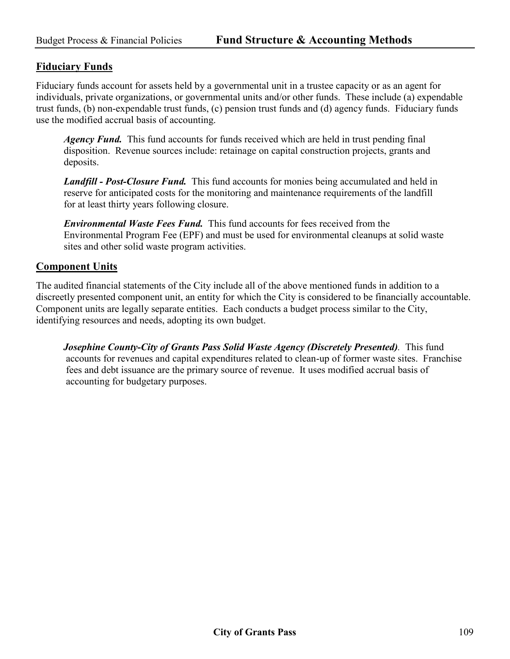### **Fiduciary Funds**

Fiduciary funds account for assets held by a governmental unit in a trustee capacity or as an agent for individuals, private organizations, or governmental units and/or other funds. These include (a) expendable trust funds, (b) non-expendable trust funds, (c) pension trust funds and (d) agency funds. Fiduciary funds use the modified accrual basis of accounting.

*Agency Fund.* This fund accounts for funds received which are held in trust pending final disposition. Revenue sources include: retainage on capital construction projects, grants and deposits.

*Landfill - Post-Closure Fund.* This fund accounts for monies being accumulated and held in reserve for anticipated costs for the monitoring and maintenance requirements of the landfill for at least thirty years following closure.

*Environmental Waste Fees Fund.* This fund accounts for fees received from the Environmental Program Fee (EPF) and must be used for environmental cleanups at solid waste sites and other solid waste program activities.

### **Component Units**

The audited financial statements of the City include all of the above mentioned funds in addition to a discreetly presented component unit, an entity for which the City is considered to be financially accountable. Component units are legally separate entities. Each conducts a budget process similar to the City, identifying resources and needs, adopting its own budget.

 *Josephine County-City of Grants Pass Solid Waste Agency (Discretely Presented).* This fund accounts for revenues and capital expenditures related to clean-up of former waste sites. Franchise fees and debt issuance are the primary source of revenue. It uses modified accrual basis of accounting for budgetary purposes.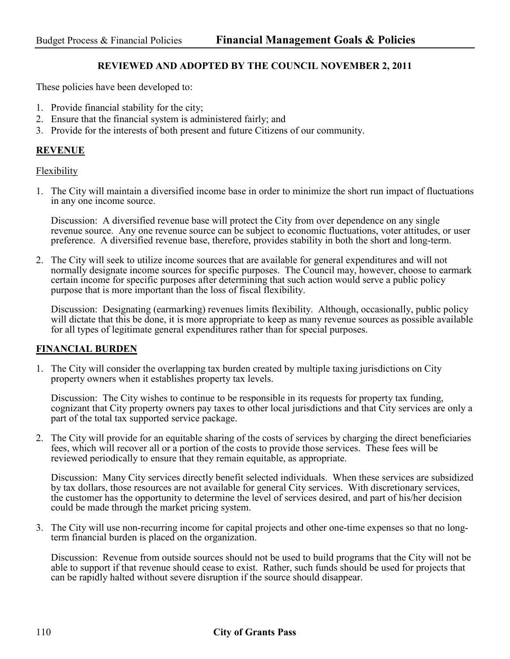#### **REVIEWED AND ADOPTED BY THE COUNCIL NOVEMBER 2, 2011**

These policies have been developed to:

- 1. Provide financial stability for the city;
- 2. Ensure that the financial system is administered fairly; and
- 3. Provide for the interests of both present and future Citizens of our community.

#### **REVENUE**

#### Flexibility

1. The City will maintain a diversified income base in order to minimize the short run impact of fluctuations in any one income source.

Discussion: A diversified revenue base will protect the City from over dependence on any single revenue source. Any one revenue source can be subject to economic fluctuations, voter attitudes, or user preference. A diversified revenue base, therefore, provides stability in both the short and long-term.

2. The City will seek to utilize income sources that are available for general expenditures and will not normally designate income sources for specific purposes. The Council may, however, choose to earmark certain income for specific purposes after determining that such action would serve a public policy purpose that is more important than the loss of fiscal flexibility.

Discussion: Designating (earmarking) revenues limits flexibility. Although, occasionally, public policy will dictate that this be done, it is more appropriate to keep as many revenue sources as possible available for all types of legitimate general expenditures rather than for special purposes.

#### **FINANCIAL BURDEN**

1. The City will consider the overlapping tax burden created by multiple taxing jurisdictions on City property owners when it establishes property tax levels.

Discussion: The City wishes to continue to be responsible in its requests for property tax funding, cognizant that City property owners pay taxes to other local jurisdictions and that City services are only a part of the total tax supported service package.

2. The City will provide for an equitable sharing of the costs of services by charging the direct beneficiaries fees, which will recover all or a portion of the costs to provide those services. These fees will be reviewed periodically to ensure that they remain equitable, as appropriate.

Discussion: Many City services directly benefit selected individuals. When these services are subsidized by tax dollars, those resources are not available for general City services. With discretionary services, the customer has the opportunity to determine the level of services desired, and part of his/her decision could be made through the market pricing system.

3. The City will use non-recurring income for capital projects and other one-time expenses so that no longterm financial burden is placed on the organization.

Discussion: Revenue from outside sources should not be used to build programs that the City will not be able to support if that revenue should cease to exist. Rather, such funds should be used for projects that can be rapidly halted without severe disruption if the source should disappear.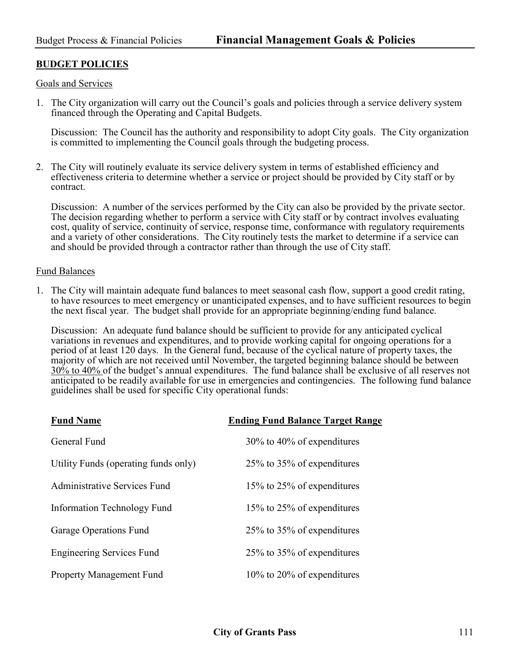# **BUDGET POLICIES**

Goals and Services

1. The City organization will carry out the Council's goals and policies through a service delivery system financed through the Operating and Capital Budgets.

Discussion: The Council has the authority and responsibility to adopt City goals. The City organization is committed to implementing the Council goals through the budgeting process.

2. The City will routinely evaluate its service delivery system in terms of established efficiency and effectiveness criteria to determine whether a service or project should be provided by City staff or by contract.

Discussion: A number of the services performed by the City can also be provided by the private sector. The decision regarding whether to perform a service with City staff or by contract involves evaluating cost, quality of service, continuity of service, response time, conformance with regulatory requirements and a variety of other considerations. The City routinely tests the market to determine if a service can and should be provided through a contractor rather than through the use of City staff.

#### Fund Balances

1. The City will maintain adequate fund balances to meet seasonal cash flow, support a good credit rating, to have resources to meet emergency or unanticipated expenses, and to have sufficient resources to begin the next fiscal year. The budget shall provide for an appropriate beginning/ending fund balance.

Discussion: An adequate fund balance should be sufficient to provide for any anticipated cyclical variations in revenues and expenditures, and to provide working capital for ongoing operations for a period of at least 120 days. In the General fund, because of the cyclical nature of property taxes, the majority of which are not received until November, the targeted beginning balance should be between 30% to 40% of the budget's annual expenditures. The fund balance shall be exclusive of all reserves not anticipated to be readily available for use in emergencies and contingencies. The following fund balance guidelines shall be used for specific City operational funds:

| <b>Fund Name</b>                     | <b>Ending Fund Balance Target Range</b> |
|--------------------------------------|-----------------------------------------|
| General Fund                         | 30% to 40% of expenditures              |
| Utility Funds (operating funds only) | 25% to 35% of expenditures              |
| Administrative Services Fund         | 15% to 25% of expenditures              |
| Information Technology Fund          | 15% to 25% of expenditures              |
| Garage Operations Fund               | 25% to 35% of expenditures              |
| <b>Engineering Services Fund</b>     | 25% to 35% of expenditures              |
| <b>Property Management Fund</b>      | $10\%$ to 20% of expenditures           |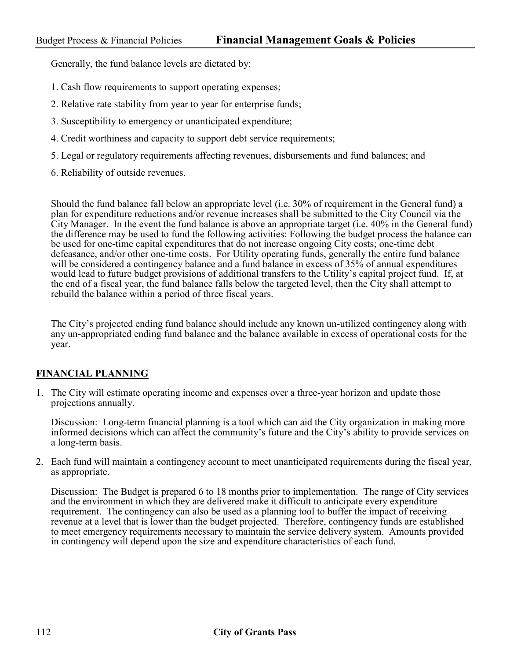Generally, the fund balance levels are dictated by:

- 1. Cash flow requirements to support operating expenses;
- 2. Relative rate stability from year to year for enterprise funds;
- 3. Susceptibility to emergency or unanticipated expenditure;
- 4. Credit worthiness and capacity to support debt service requirements;
- 5. Legal or regulatory requirements affecting revenues, disbursements and fund balances; and
- 6. Reliability of outside revenues.

Should the fund balance fall below an appropriate level (i.e. 30% of requirement in the General fund) a plan for expenditure reductions and/or revenue increases shall be submitted to the City Council via the City Manager. In the event the fund balance is above an appropriate target (i.e. 40% in the General fund) the difference may be used to fund the following activities: Following the budget process the balance can be used for one-time capital expenditures that do not increase ongoing City costs; one-time debt defeasance, and/or other one-time costs. For Utility operating funds, generally the entire fund balance will be considered a contingency balance and a fund balance in excess of 35% of annual expenditures would lead to future budget provisions of additional transfers to the Utility's capital project fund. If, at the end of a fiscal year, the fund balance falls below the targeted level, then the City shall attempt to rebuild the balance within a period of three fiscal years.

 The City's projected ending fund balance should include any known un-utilized contingency along with any un-appropriated ending fund balance and the balance available in excess of operational costs for the year.

# **FINANCIAL PLANNING**

1. The City will estimate operating income and expenses over a three-year horizon and update those projections annually.

Discussion: Long-term financial planning is a tool which can aid the City organization in making more informed decisions which can affect the community's future and the City's ability to provide services on a long-term basis.

2. Each fund will maintain a contingency account to meet unanticipated requirements during the fiscal year, as appropriate.

Discussion: The Budget is prepared 6 to 18 months prior to implementation. The range of City services and the environment in which they are delivered make it difficult to anticipate every expenditure requirement. The contingency can also be used as a planning tool to buffer the impact of receiving revenue at a level that is lower than the budget projected. Therefore, contingency funds are established to meet emergency requirements necessary to maintain the service delivery system. Amounts provided in contingency will depend upon the size and expenditure characteristics of each fund.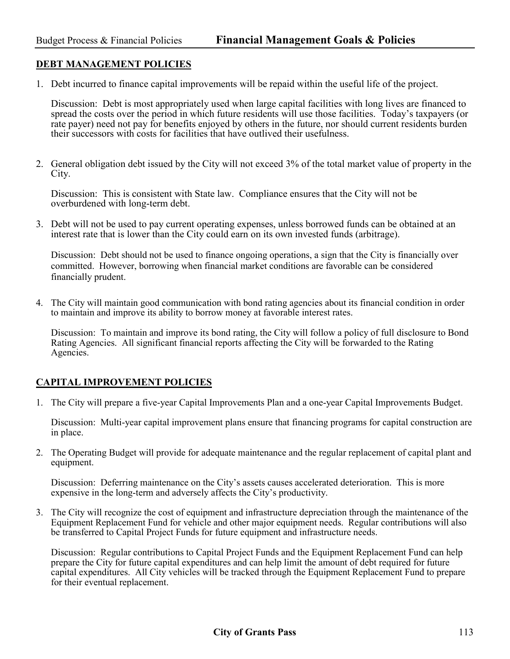# **DEBT MANAGEMENT POLICIES**

1. Debt incurred to finance capital improvements will be repaid within the useful life of the project.

Discussion: Debt is most appropriately used when large capital facilities with long lives are financed to spread the costs over the period in which future residents will use those facilities. Today's taxpayers (or rate payer) need not pay for benefits enjoyed by others in the future, nor should current residents burden their successors with costs for facilities that have outlived their usefulness.

2. General obligation debt issued by the City will not exceed 3% of the total market value of property in the City.

 Discussion: This is consistent with State law. Compliance ensures that the City will not be overburdened with long-term debt.

3. Debt will not be used to pay current operating expenses, unless borrowed funds can be obtained at an interest rate that is lower than the City could earn on its own invested funds (arbitrage).

Discussion: Debt should not be used to finance ongoing operations, a sign that the City is financially over committed. However, borrowing when financial market conditions are favorable can be considered financially prudent.

4. The City will maintain good communication with bond rating agencies about its financial condition in order to maintain and improve its ability to borrow money at favorable interest rates.

Discussion: To maintain and improve its bond rating, the City will follow a policy of full disclosure to Bond Rating Agencies. All significant financial reports affecting the City will be forwarded to the Rating Agencies.

# **CAPITAL IMPROVEMENT POLICIES**

1. The City will prepare a five-year Capital Improvements Plan and a one-year Capital Improvements Budget.

Discussion: Multi-year capital improvement plans ensure that financing programs for capital construction are in place.

2. The Operating Budget will provide for adequate maintenance and the regular replacement of capital plant and equipment.

Discussion: Deferring maintenance on the City's assets causes accelerated deterioration. This is more expensive in the long-term and adversely affects the City's productivity.

3. The City will recognize the cost of equipment and infrastructure depreciation through the maintenance of the Equipment Replacement Fund for vehicle and other major equipment needs. Regular contributions will also be transferred to Capital Project Funds for future equipment and infrastructure needs.

Discussion: Regular contributions to Capital Project Funds and the Equipment Replacement Fund can help prepare the City for future capital expenditures and can help limit the amount of debt required for future capital expenditures. All City vehicles will be tracked through the Equipment Replacement Fund to prepare for their eventual replacement.